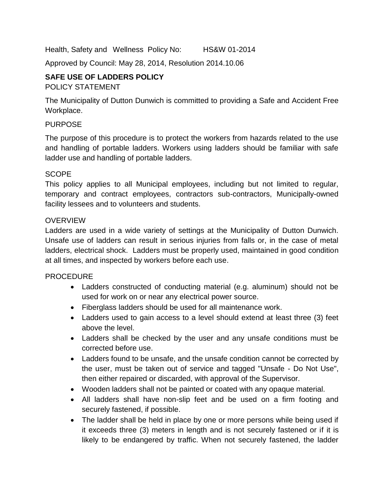Health, Safety and Wellness Policy No: HS&W 01-2014

Approved by Council: May 28, 2014, Resolution 2014.10.06

### **SAFE USE OF LADDERS POLICY**

### POLICY STATEMENT

The Municipality of Dutton Dunwich is committed to providing a Safe and Accident Free Workplace.

### PURPOSE

The purpose of this procedure is to protect the workers from hazards related to the use and handling of portable ladders. Workers using ladders should be familiar with safe ladder use and handling of portable ladders.

### SCOPE

This policy applies to all Municipal employees, including but not limited to regular, temporary and contract employees, contractors sub-contractors, Municipally-owned facility lessees and to volunteers and students.

### OVERVIEW

Ladders are used in a wide variety of settings at the Municipality of Dutton Dunwich. Unsafe use of ladders can result in serious injuries from falls or, in the case of metal ladders, electrical shock. Ladders must be properly used, maintained in good condition at all times, and inspected by workers before each use.

### PROCEDURE

- Ladders constructed of conducting material (e.g. aluminum) should not be used for work on or near any electrical power source.
- Fiberglass ladders should be used for all maintenance work.
- Ladders used to gain access to a level should extend at least three (3) feet above the level.
- Ladders shall be checked by the user and any unsafe conditions must be corrected before use.
- Ladders found to be unsafe, and the unsafe condition cannot be corrected by the user, must be taken out of service and tagged "Unsafe - Do Not Use", then either repaired or discarded, with approval of the Supervisor.
- Wooden ladders shall not be painted or coated with any opaque material.
- All ladders shall have non-slip feet and be used on a firm footing and securely fastened, if possible.
- The ladder shall be held in place by one or more persons while being used if it exceeds three (3) meters in length and is not securely fastened or if it is likely to be endangered by traffic. When not securely fastened, the ladder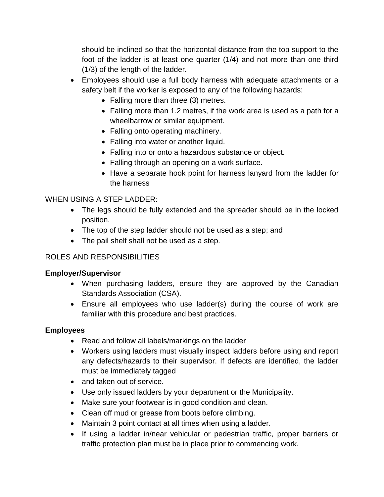should be inclined so that the horizontal distance from the top support to the foot of the ladder is at least one quarter (1/4) and not more than one third (1/3) of the length of the ladder.

- Employees should use a full body harness with adequate attachments or a safety belt if the worker is exposed to any of the following hazards:
	- Falling more than three (3) metres.
	- $\bullet$  Falling more than 1.2 metres, if the work area is used as a path for a wheelbarrow or similar equipment.
	- Falling onto operating machinery.
	- Falling into water or another liquid.
	- Falling into or onto a hazardous substance or object.
	- Falling through an opening on a work surface.
	- Have a separate hook point for harness lanyard from the ladder for the harness

# WHEN USING A STEP LADDER:

- The legs should be fully extended and the spreader should be in the locked position.
- The top of the step ladder should not be used as a step; and
- The pail shelf shall not be used as a step.

# ROLES AND RESPONSIBILITIES

# **Employer/Supervisor**

- When purchasing ladders, ensure they are approved by the Canadian Standards Association (CSA).
- Ensure all employees who use ladder(s) during the course of work are familiar with this procedure and best practices.

# **Employees**

- Read and follow all labels/markings on the ladder
- Workers using ladders must visually inspect ladders before using and report any defects/hazards to their supervisor. If defects are identified, the ladder must be immediately tagged
- and taken out of service.
- Use only issued ladders by your department or the Municipality.
- Make sure your footwear is in good condition and clean.
- Clean off mud or grease from boots before climbing.
- Maintain 3 point contact at all times when using a ladder.
- If using a ladder in/near vehicular or pedestrian traffic, proper barriers or traffic protection plan must be in place prior to commencing work.